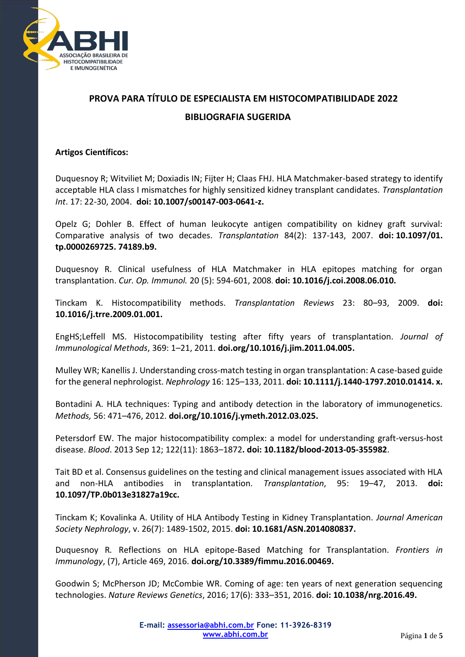

# **PROVA PARA TÍTULO DE ESPECIALISTA EM HISTOCOMPATIBILIDADE 2022 BIBLIOGRAFIA SUGERIDA**

## **Artigos Científicos:**

Duquesnoy R; Witviliet M; Doxiadis IN; Fijter H; Claas FHJ. HLA Matchmaker-based strategy to identify acceptable HLA class I mismatches for highly sensitized kidney transplant candidates. *Transplantation Int*. 17: 22-30, 2004. **doi: 10.1007/s00147-003-0641-z.** 

Opelz G; Dohler B. Effect of human leukocyte antigen compatibility on kidney graft survival: Comparative analysis of two decades. *Transplantation* 84(2): 137-143, 2007. **doi: [10.1097/01.](https://doi.org/10.1097/01.tp.0000269725.74189.b9)  [tp.0000269725. 74189.b9.](https://doi.org/10.1097/01.tp.0000269725.74189.b9)**

Duquesnoy R. Clinical usefulness of HLA Matchmaker in HLA epitopes matching for organ transplantation. *Cur. Op. Immunol.* 20 (5): 594-601, 2008. **doi: 10.1016/j.coi.2008.06.010.**

Tinckam K. Histocompatibility methods. *Transplantation Reviews* 23: 80–93, 2009. **doi: 10.1016/j.trre.2009.01.001.**

EngHS;Leffell MS. Histocompatibility testing after fifty years of transplantation. *Journal of Immunological Methods*, 369: 1–21, 2011. **[doi.org/10.1016/j.jim.2011.04.005.](https://doi.org/10.1016/j.jim.2011.04.005)**

Mulley WR; Kanellis J. Understanding cross-match testing in organ transplantation: A case-based guide for the general nephrologist. *Nephrology* 16: 125–133, 2011. **doi: 10.1111/j.1440-1797.2010.01414. x.**

Bontadini A. HLA techniques: Typing and antibody detection in the laboratory of immunogenetics. *Methods,* 56: 471–476, 2012. **[doi.org/10.1016/j.ymeth.2012.03.025.](https://doi.org/10.1016/j.ymeth.2012.03.025)**

Petersdorf EW. The major histocompatibility [complex: a model for understanding graft-versus-host](https://www.ncbi.nlm.nih.gov/pmc/articles/PMC3772496/)  [disease.](https://www.ncbi.nlm.nih.gov/pmc/articles/PMC3772496/) *Blood*. 2013 Sep 12; 122(11): 1863–1872**. doi: 10.1182/blood-2013-05-355982**.

Tait BD et al. Consensus guidelines on the testing and clinical management issues associated with HLA and non-HLA antibodies in transplantation*. Transplantation*, 95: 19–47, 2013. **doi: 10.1097/TP.0b013e31827a19cc.**

Tinckam K; Kovalinka A. Utility of HLA Antibody Testing in Kidney Transplantation. *Journal American Society Nephrology*, v. 26(7): 1489-1502, 2015. **doi: 10.1681/ASN.2014080837.**

Duquesnoy R*.* Reflections on HLA epitope-Based Matching for Transplantation. *Frontiers in Immunology*, (7), Article 469, 2016. **[doi.org/10.3389/fimmu.2016.00469.](https://doi.org/10.3389/fimmu.2016.00469)**

Goodwin S; McPherson JD; McCombie WR. Coming of age: ten years of next generation sequencing technologies. *Nature Reviews Genetics*, 2016; 17(6): 333–351, 2016. **doi: 10.1038/nrg.2016.49.**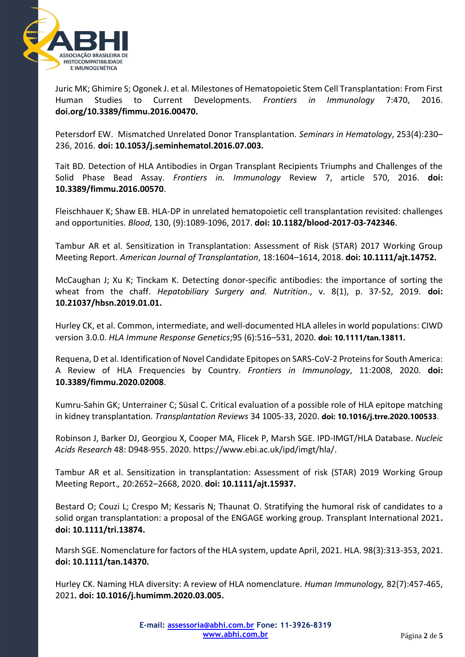

Juric MK; Ghimire S; Ogonek J. et al. Milestones of Hematopoietic Stem Cell Transplantation: From First Human Studies to Current Developments. *Frontiers in Immunology* 7:470, 2016. **[doi.org/10.3389/fimmu.2016.00470.](https://doi.org/10.3389/fimmu.2016.00470)**

Petersdorf EW. Mismatched Unrelated Donor Transplantation. *Seminars in Hematology*, 253(4):230– 236, 2016. **doi: 10.1053/j.seminhematol.2016.07.003.**

Tait BD*.* Detection of HLA Antibodies in Organ Transplant Recipients Triumphs and Challenges of the Solid Phase Bead Assay. *Frontiers in. Immunology* Review 7, article 570, 2016. **doi: 10.3389/fimmu.2016.00570**.

Fleischhauer K; Shaw EB. HLA-DP in unrelated hematopoietic cell transplantation revisited: challenges and opportunities. *Blood*, 130, (9):1089-1096, 2017. **doi: 10.1182/blood-2017-03-742346**.

Tambur AR et al. Sensitization in Transplantation: Assessment of Risk (STAR) 2017 Working Group Meeting Report. *American Journal of Transplantation*, 18:1604–1614, 2018. **doi: 10.1111/ajt.14752.**

McCaughan J; Xu K; Tinckam K. Detecting donor-specific antibodies: the importance of sorting the wheat from the chaff. *Hepatobiliary Surgery and. Nutrition*., v. 8(1), p. 37-52, 2019. **doi: 10.21037/hbsn.2019.01.01.**

Hurley CK, et al. Common, intermediate, and well-documented HLA alleles in world populations: CIWD version 3.0.0. *HLA Immune Response Genetics*;95 (6):516–531, 2020. **doi: 10.1111/tan.13811.** 

Requena, D et al. Identification of Novel Candidate Epitopes on SARS-CoV-2 Proteins for South America: A Review of HLA Frequencies by Country. *Frontiers in Immunology*, 11:2008, 2020. **doi: 10.3389/fimmu.2020.02008**.

Kumru-Sahin GK; Unterrainer C; Süsal C. Critical evaluation of a possible role of HLA epitope matching in kidney transplantation. *Transplantation Reviews* 34 1005-33, 2020. **doi: 10.1016/j.trre.2020.100533**.

Robinson J, Barker DJ, Georgiou X, Cooper MA, Flicek P, Marsh SGE. IPD-IMGT/HLA Database. *Nucleic Acids Research* 48: D948-955. 2020. [https://www.ebi.ac.uk/ipd/imgt/hla/.](https://www.ebi.ac.uk/ipd/imgt/hla/)

Tambur AR et al. Sensitization in transplantation: Assessment of risk (STAR) 2019 Working Group Meeting Report.*,* 20:2652–2668, 2020. **doi: 10.1111/ajt.15937.**

Bestard O; Couzi L; Crespo M; Kessaris N; Thaunat O. Stratifying the humoral risk of candidates to a solid organ transplantation: a proposal of the ENGAGE working group. Transplant International 2021**. doi: 10.1111/tri.13874.**

Marsh SGE. Nomenclature for factors of the HLA system, update April, 2021. HLA. 98(3):313-353, 2021. **doi: 10.1111/tan.14370.**

Hurley CK. Naming HLA diversity: A review of HLA nomenclature. *Human Immunology,* 82(7):457-465, 2021**. doi: 10.1016/j.humimm.2020.03.005.**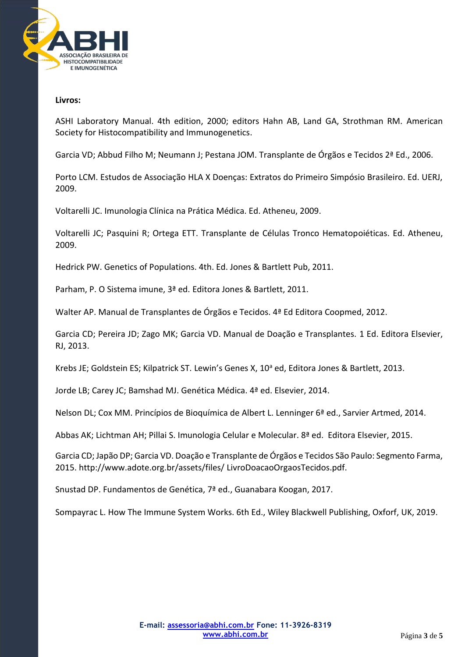

#### **Livros:**

ASHI Laboratory Manual. 4th edition, 2000; editors Hahn AB, Land GA, Strothman RM. [American](https://trove.nla.gov.au/people/American%20Society%20for%20Histocompatibility%20and%20Immunogenetics?q=creator%3A%22American+Society+for+Histocompatibility+and+Immunogenetics%22)  [Society for Histocompatibility and Immunogenetics.](https://trove.nla.gov.au/people/American%20Society%20for%20Histocompatibility%20and%20Immunogenetics?q=creator%3A%22American+Society+for+Histocompatibility+and+Immunogenetics%22)

Garcia VD; Abbud Filho M; Neumann J; Pestana JOM. Transplante de Órgãos e Tecidos 2ª Ed., 2006.

Porto LCM. Estudos de Associação HLA X Doenças: Extratos do Primeiro Simpósio Brasileiro. Ed. UERJ, 2009.

Voltarelli JC. Imunologia Clínica na Prática Médica. Ed. Atheneu, 2009.

Voltarelli JC; Pasquini R; Ortega ETT. Transplante de Células Tronco Hematopoiéticas. Ed. Atheneu, 2009.

Hedrick PW. Genetics of Populations. 4th. Ed. Jones & Bartlett Pub, 2011.

Parham, P. O Sistema imune, 3ª ed. Editora Jones & Bartlett, 2011.

Walter AP. Manual de Transplantes de Órgãos e Tecidos. 4ª Ed Editora Coopmed, 2012.

Garcia CD; Pereira JD; Zago MK; Garcia VD. Manual de Doação e Transplantes. 1 Ed. Editora Elsevier, RJ, 2013.

Krebs JE; Goldstein ES; Kilpatrick ST. Lewin's Genes X,  $10^a$  ed, Editora Jones & Bartlett, 2013.

Jorde LB; Carey JC; Bamshad MJ. Genética Médica. 4ª ed. Elsevier, 2014.

Nelson DL; Cox MM. Princípios de Bioquímica de Albert L. Lenninger 6ª ed., Sarvier Artmed, 2014.

Abbas AK; Lichtman AH; Pillai S. Imunologia Celular e Molecular. 8ª ed. Editora Elsevier, 2015.

Garcia CD; Japão DP; Garcia VD. Doação e Transplante de Órgãos e Tecidos São Paulo: Segmento Farma, 2015.<http://www.adote.org.br/assets/files/> LivroDoacaoOrgaosTecidos.pdf.

Snustad DP. Fundamentos de Genética, 7ª ed., Guanabara Koogan, 2017.

Sompayrac L. How The Immune System Works. 6th Ed., Wiley Blackwell Publishing, Oxforf, UK, 2019.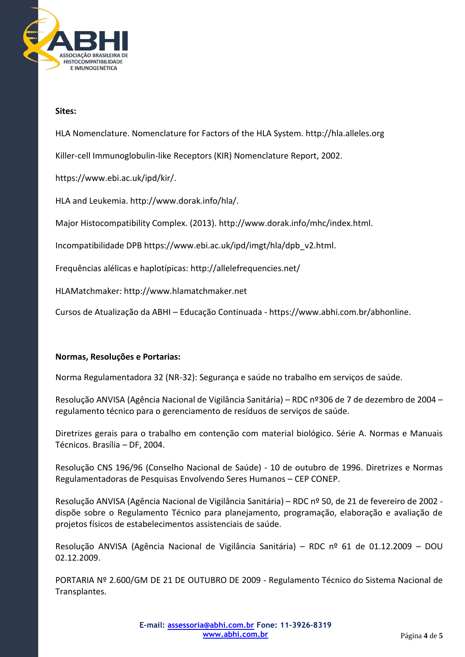

## **Sites:**

HLA Nomenclature. Nomenclature for Factors of the HLA System. http://hla.alleles.org

Killer-cell Immunoglobulin-like Receptors (KIR) Nomenclature Report, 2002.

[https://www.ebi.ac.uk/ipd/kir/.](https://www.ebi.ac.uk/ipd/kir/)

HLA and Leukemia[. http://www.dorak.info/hla/.](http://www.dorak.info/hla/)

Major Histocompatibility Complex. (2013). http://www.dorak.info/mhc/index.html.

Incompatibilidade DPB [https://www.ebi.ac.uk/ipd/imgt/hla/dpb\\_v2.html.](https://www.ebi.ac.uk/ipd/imgt/hla/dpb_v2.html)

Frequências alélicas e haplotípicas:<http://allelefrequencies.net/>

HLAMatchmaker[: http://www.hlamatchmaker.net](http://www.hlamatchmaker.net/)

Cursos de Atualização da ABHI – Educação Continuada - https://www.abhi.com.br/abhonline.

### **Normas, Resoluções e Portarias:**

Norma Regulamentadora 32 (NR-32): Segurança e saúde no trabalho em serviços de saúde.

Resolução ANVISA (Agência Nacional de Vigilância Sanitária) – RDC nº306 de 7 de dezembro de 2004 – regulamento técnico para o gerenciamento de resíduos de serviços de saúde.

Diretrizes gerais para o trabalho em contenção com material biológico. Série A. Normas e Manuais Técnicos. Brasília – DF, 2004.

Resolução CNS 196/96 (Conselho Nacional de Saúde) - 10 de outubro de 1996. Diretrizes e Normas Regulamentadoras de Pesquisas Envolvendo Seres Humanos – CEP CONEP.

Resolução ANVISA (Agência Nacional de Vigilância Sanitária) – RDC nº 50, de 21 de fevereiro de 2002 dispõe sobre o Regulamento Técnico para planejamento, programação, elaboração e avaliação de projetos físicos de estabelecimentos assistenciais de saúde.

Resolução ANVISA (Agência Nacional de Vigilância Sanitária) – RDC nº 61 de 01.12.2009 – DOU 02.12.2009.

PORTARIA Nº 2.600/GM DE 21 DE OUTUBRO DE 2009 - Regulamento Técnico do Sistema Nacional de Transplantes.